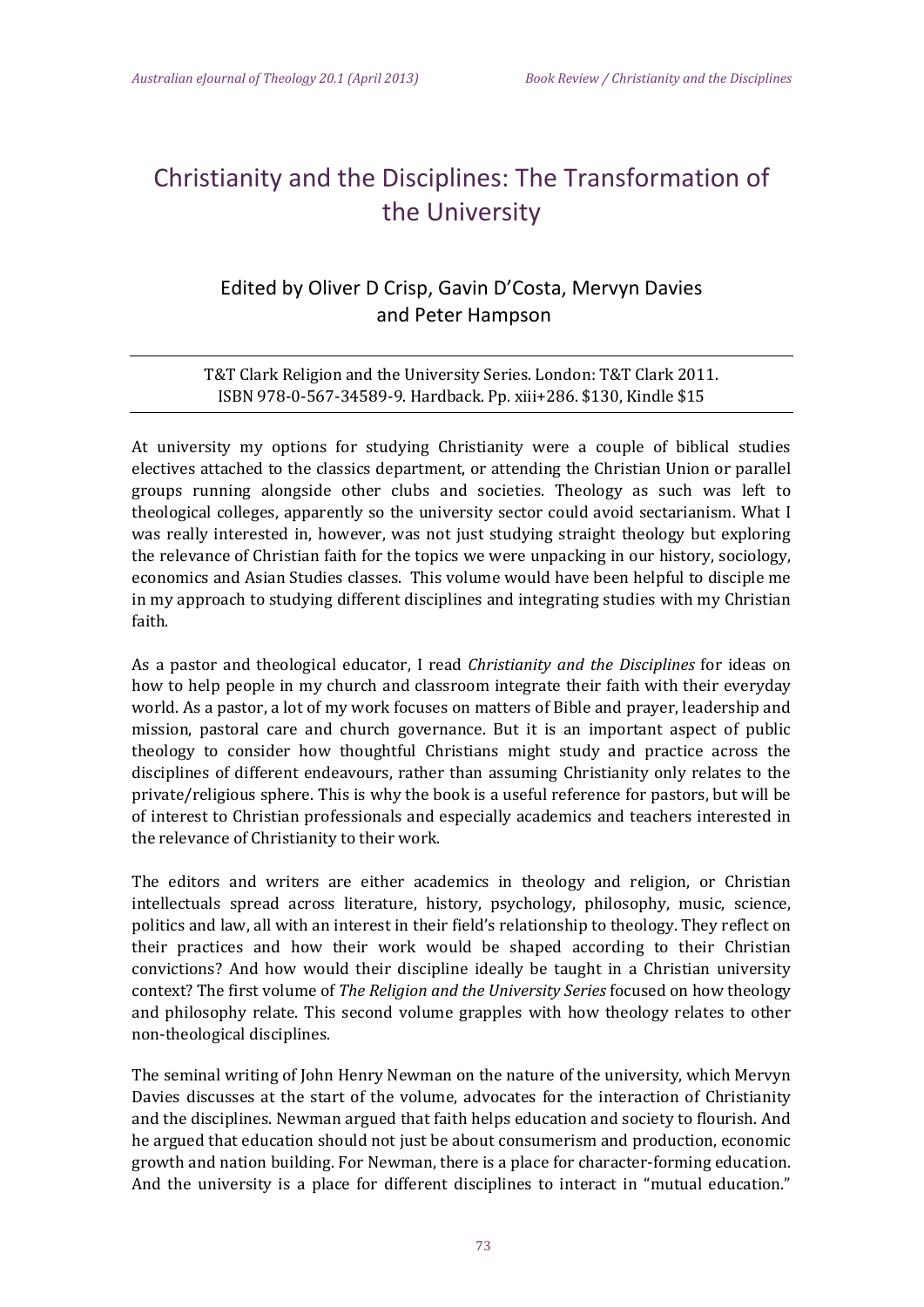## Christianity and the Disciplines: The Transformation of the University

## Edited by Oliver D Crisp, Gavin D'Costa, Mervyn Davies and Peter Hampson

## T&T Clark Religion and the University Series. London: T&T Clark 2011. ISBN 978-0-567-34589-9. Hardback. Pp. xiii+286. \$130, Kindle \$15

At university my options for studying Christianity were a couple of biblical studies electives attached to the classics department, or attending the Christian Union or parallel groups running alongside other clubs and societies. Theology as such was left to theological colleges, apparently so the university sector could avoid sectarianism. What I was really interested in, however, was not just studying straight theology but exploring the relevance of Christian faith for the topics we were unpacking in our history, sociology, economics and Asian Studies classes. This volume would have been helpful to disciple me in my approach to studying different disciplines and integrating studies with my Christian faith. 

As a pastor and theological educator, I read *Christianity and the Disciplines* for ideas on how to help people in my church and classroom integrate their faith with their everyday world. As a pastor, a lot of my work focuses on matters of Bible and prayer, leadership and mission, pastoral care and church governance. But it is an important aspect of public theology to consider how thoughtful Christians might study and practice across the disciplines of different endeavours, rather than assuming Christianity only relates to the private/religious sphere. This is why the book is a useful reference for pastors, but will be of interest to Christian professionals and especially academics and teachers interested in the relevance of Christianity to their work.

The editors and writers are either academics in theology and religion, or Christian intellectuals spread across literature, history, psychology, philosophy, music, science, politics and law, all with an interest in their field's relationship to theology. They reflect on their practices and how their work would be shaped according to their Christian convictions? And how would their discipline ideally be taught in a Christian university context? The first volume of *The Religion and the University Series* focused on how theology and philosophy relate. This second volume grapples with how theology relates to other non-theological disciplines.

The seminal writing of John Henry Newman on the nature of the university, which Mervyn Davies discusses at the start of the volume, advocates for the interaction of Christianity and the disciplines. Newman argued that faith helps education and society to flourish. And he argued that education should not just be about consumerism and production, economic growth and nation building. For Newman, there is a place for character-forming education. And the university is a place for different disciplines to interact in "mutual education."